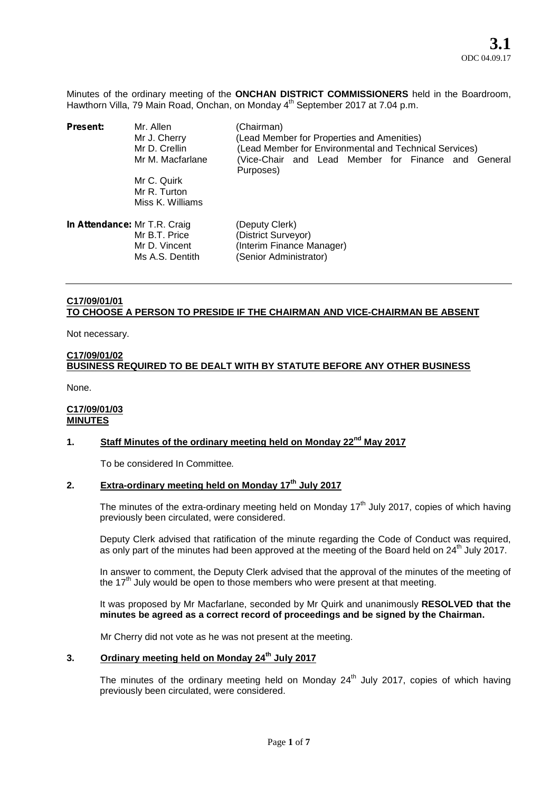Minutes of the ordinary meeting of the **ONCHAN DISTRICT COMMISSIONERS** held in the Boardroom, Hawthorn Villa, 79 Main Road, Onchan, on Monday 4<sup>th</sup> September 2017 at 7.04 p.m.

| Present:                     | Mr. Allen<br>Mr J. Cherry<br>Mr D. Crellin<br>Mr M. Macfarlane | (Chairman)<br>(Lead Member for Properties and Amenities)<br>(Lead Member for Environmental and Technical Services)<br>(Vice-Chair and Lead Member for Finance and General<br>Purposes) |
|------------------------------|----------------------------------------------------------------|----------------------------------------------------------------------------------------------------------------------------------------------------------------------------------------|
|                              | Mr C. Quirk<br>Mr R. Turton<br>Miss K. Williams                |                                                                                                                                                                                        |
| In Attendance: Mr T.R. Craig | Mr B.T. Price<br>Mr D. Vincent<br>Ms A.S. Dentith              | (Deputy Clerk)<br>(District Surveyor)<br>(Interim Finance Manager)<br>(Senior Administrator)                                                                                           |

# **C17/09/01/01 TO CHOOSE A PERSON TO PRESIDE IF THE CHAIRMAN AND VICE-CHAIRMAN BE ABSENT**

Not necessary.

# **C17/09/01/02 BUSINESS REQUIRED TO BE DEALT WITH BY STATUTE BEFORE ANY OTHER BUSINESS**

None.

### **C17/09/01/03 MINUTES**

# **1. Staff Minutes of the ordinary meeting held on Monday 22nd May 2017**

To be considered In Committee*.*

# **2. Extra-ordinary meeting held on Monday 17th July 2017**

The minutes of the extra-ordinary meeting held on Monday  $17<sup>th</sup>$  July 2017, copies of which having previously been circulated, were considered.

Deputy Clerk advised that ratification of the minute regarding the Code of Conduct was required, as only part of the minutes had been approved at the meeting of the Board held on 24<sup>th</sup> July 2017.

In answer to comment, the Deputy Clerk advised that the approval of the minutes of the meeting of the  $17<sup>th</sup>$  July would be open to those members who were present at that meeting.

It was proposed by Mr Macfarlane, seconded by Mr Quirk and unanimously **RESOLVED that the minutes be agreed as a correct record of proceedings and be signed by the Chairman.**

Mr Cherry did not vote as he was not present at the meeting.

# **3. Ordinary meeting held on Monday 24th July 2017**

The minutes of the ordinary meeting held on Monday  $24<sup>th</sup>$  July 2017, copies of which having previously been circulated, were considered.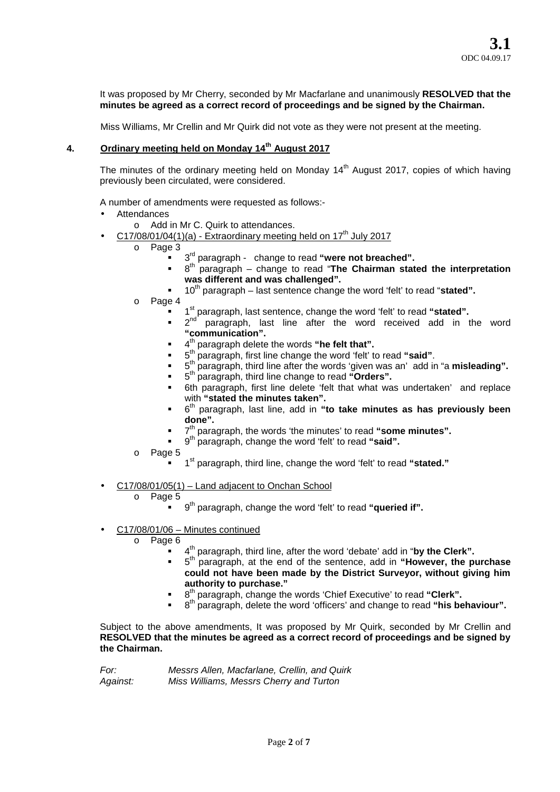It was proposed by Mr Cherry, seconded by Mr Macfarlane and unanimously **RESOLVED that the minutes be agreed as a correct record of proceedings and be signed by the Chairman.**

Miss Williams, Mr Crellin and Mr Quirk did not vote as they were not present at the meeting.

# **4. Ordinary meeting held on Monday 14th August 2017**

The minutes of the ordinary meeting held on Monday  $14<sup>th</sup>$  August 2017, copies of which having previously been circulated, were considered.

A number of amendments were requested as follows:-

- **Attendances** 
	- o Add in Mr C. Quirk to attendances.
- $C17/08/01/04(1)(a)$  Extraordinary meeting held on  $17<sup>th</sup>$  July 2017
	- o Page 3
		- **F** 3<sup>rd</sup> paragraph change to read "were not breached".
			- <sup>t 8th</sup> paragraph change to read "The Chairman stated the interpretation **was different and was challenged".**
			- 10th paragraph last sentence change the word 'felt' to read "**stated".**
	- o Page 4
		- 1<sup>st</sup> paragraph, last sentence, change the word 'felt' to read "**stated".**
		- **2<sup>nd</sup>** paragraph, last line after the word received add in the word **"communication".**
		- 4<sup>th</sup> paragraph delete the words "he felt that".
		- **5** baragraph, first line change the word 'felt' to read "said".
		- **5** 5<sup>th</sup> paragraph, third line after the words 'given was an' add in "a **misleading".**
		- 5 th paragraph, third line change to read **"Orders".**
		- 6th paragraph, first line delete 'felt that what was undertaken' and replace with **"stated the minutes taken".**
		- 6 th paragraph, last line, add in **"to take minutes as has previously been done".**
		- 7<sup>th</sup> paragraph, the words 'the minutes' to read "some minutes".
		- **9**<sup>th</sup> paragraph, change the word 'felt' to read "said".
	- o Page 5
		- **1** <sup>st</sup> paragraph, third line, change the word 'felt' to read "stated."
- C17/08/01/05(1) Land adjacent to Onchan School
	- o Page 5
		- 9 th paragraph, change the word 'felt' to read **"queried if".**
- C17/08/01/06 Minutes continued
	- o Page 6
		- 4 th paragraph, third line, after the word 'debate' add in "**by the Clerk".**
		- 5 th paragraph, at the end of the sentence, add in **"However, the purchase could not have been made by the District Surveyor, without giving him authority to purchase."**
		- <sup>th</sup> paragraph, change the words 'Chief Executive' to read "Clerk".
		- <sup>th</sup> paragraph, delete the word 'officers' and change to read "his behaviour".

Subject to the above amendments, It was proposed by Mr Quirk, seconded by Mr Crellin and **RESOLVED that the minutes be agreed as a correct record of proceedings and be signed by the Chairman.**

| For:     | Messrs Allen, Macfarlane, Crellin, and Quirk |
|----------|----------------------------------------------|
| Against: | Miss Williams, Messrs Cherry and Turton      |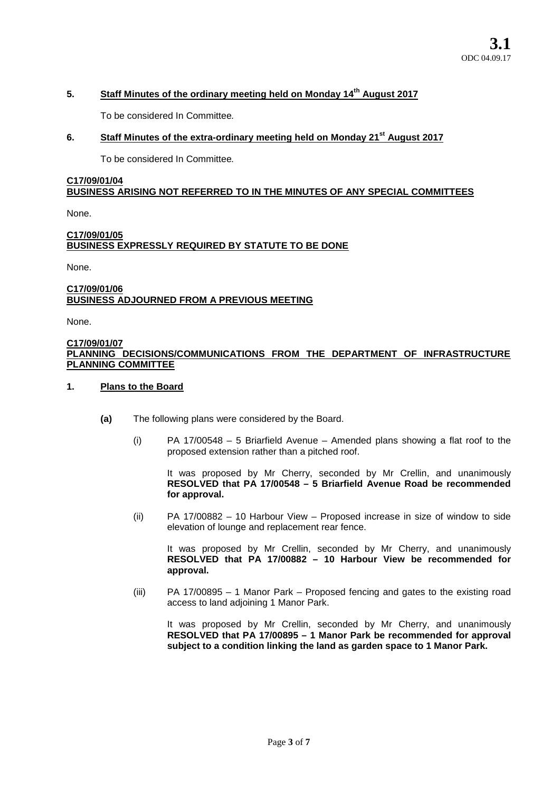# **5. Staff Minutes of the ordinary meeting held on Monday 14th August 2017**

To be considered In Committee*.*

# **6. Staff Minutes of the extra-ordinary meeting held on Monday 21st August 2017**

To be considered In Committee*.*

# **C17/09/01/04 BUSINESS ARISING NOT REFERRED TO IN THE MINUTES OF ANY SPECIAL COMMITTEES**

None.

## **C17/09/01/05 BUSINESS EXPRESSLY REQUIRED BY STATUTE TO BE DONE**

None.

## **C17/09/01/06 BUSINESS ADJOURNED FROM A PREVIOUS MEETING**

None.

#### **C17/09/01/07 PLANNING DECISIONS/COMMUNICATIONS FROM THE DEPARTMENT OF INFRASTRUCTURE PLANNING COMMITTEE**

### **1. Plans to the Board**

- **(a)** The following plans were considered by the Board.
	- (i) PA 17/00548 5 Briarfield Avenue Amended plans showing a flat roof to the proposed extension rather than a pitched roof.

It was proposed by Mr Cherry, seconded by Mr Crellin, and unanimously **RESOLVED that PA 17/00548 – 5 Briarfield Avenue Road be recommended for approval.**

(ii) PA 17/00882 – 10 Harbour View – Proposed increase in size of window to side elevation of lounge and replacement rear fence.

It was proposed by Mr Crellin, seconded by Mr Cherry, and unanimously **RESOLVED that PA 17/00882 – 10 Harbour View be recommended for approval.**

(iii) PA 17/00895 – 1 Manor Park – Proposed fencing and gates to the existing road access to land adjoining 1 Manor Park.

It was proposed by Mr Crellin, seconded by Mr Cherry, and unanimously **RESOLVED that PA 17/00895 – 1 Manor Park be recommended for approval subject to a condition linking the land as garden space to 1 Manor Park.**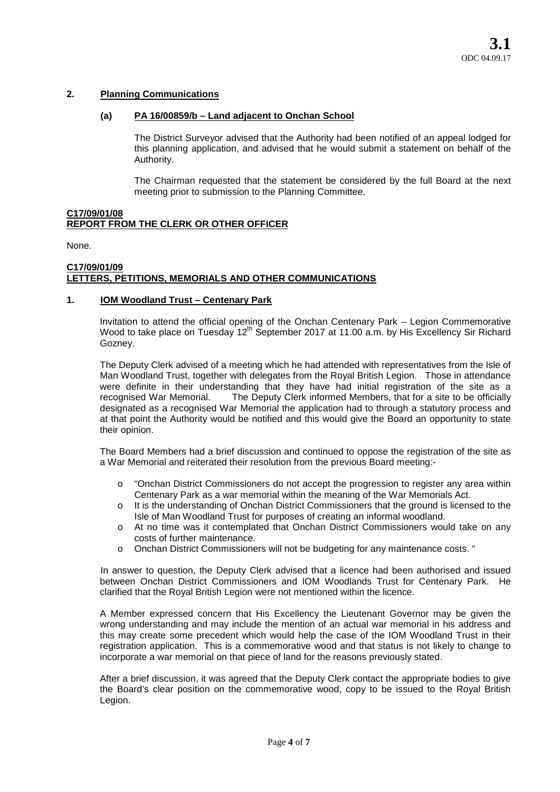# **2. Planning Communications**

#### **(a) PA 16/00859/b – Land adjacent to Onchan School**

The District Surveyor advised that the Authority had been notified of an appeal lodged for this planning application, and advised that he would submit a statement on behalf of the Authority.

The Chairman requested that the statement be considered by the full Board at the next meeting prior to submission to the Planning Committee.

# **C17/09/01/08 REPORT FROM THE CLERK OR OTHER OFFICER**

None.

### **C17/09/01/09 LETTERS, PETITIONS, MEMORIALS AND OTHER COMMUNICATIONS**

#### **1. IOM Woodland Trust – Centenary Park**

Invitation to attend the official opening of the Onchan Centenary Park – Legion Commemorative Wood to take place on Tuesday 12<sup>th</sup> September 2017 at 11.00 a.m. by His Excellency Sir Richard Gozney.

The Deputy Clerk advised of a meeting which he had attended with representatives from the Isle of Man Woodland Trust, together with delegates from the Royal British Legion. Those in attendance were definite in their understanding that they have had initial registration of the site as a recognised War Memorial. The Deputy Clerk informed Members, that for a site to be officially The Deputy Clerk informed Members, that for a site to be officially designated as a recognised War Memorial the application had to through a statutory process and at that point the Authority would be notified and this would give the Board an opportunity to state their opinion.

The Board Members had a brief discussion and continued to oppose the registration of the site as a War Memorial and reiterated their resolution from the previous Board meeting:-

- o "Onchan District Commissioners do not accept the progression to register any area within Centenary Park as a war memorial within the meaning of the War Memorials Act.
- o It is the understanding of Onchan District Commissioners that the ground is licensed to the Isle of Man Woodland Trust for purposes of creating an informal woodland.
- o At no time was it contemplated that Onchan District Commissioners would take on any costs of further maintenance.
- o Onchan District Commissioners will not be budgeting for any maintenance costs. "

In answer to question, the Deputy Clerk advised that a licence had been authorised and issued between Onchan District Commissioners and IOM Woodlands Trust for Centenary Park. He clarified that the Royal British Legion were not mentioned within the licence.

A Member expressed concern that His Excellency the Lieutenant Governor may be given the wrong understanding and may include the mention of an actual war memorial in his address and this may create some precedent which would help the case of the IOM Woodland Trust in their registration application. This is a commemorative wood and that status is not likely to change to incorporate a war memorial on that piece of land for the reasons previously stated.

After a brief discussion, it was agreed that the Deputy Clerk contact the appropriate bodies to give the Board's clear position on the commemorative wood, copy to be issued to the Royal British Legion.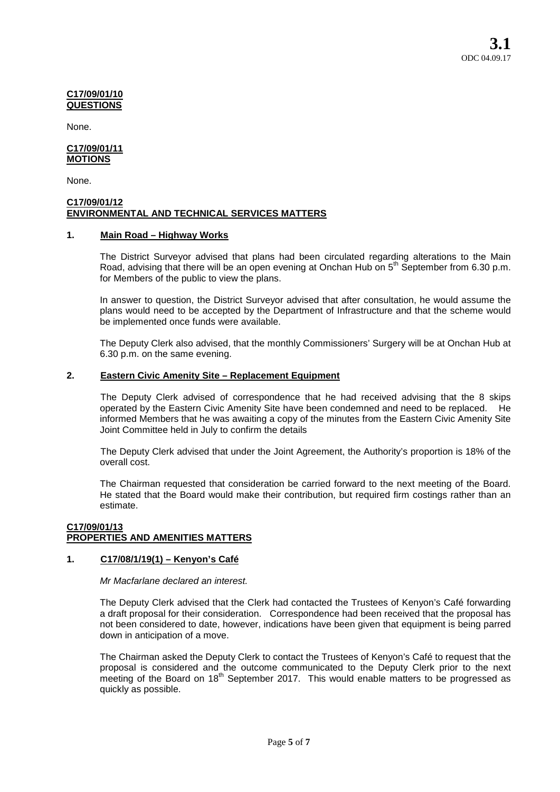#### **C17/09/01/10 QUESTIONS**

None.

#### **C17/09/01/11 MOTIONS**

None.

### **C17/09/01/12 ENVIRONMENTAL AND TECHNICAL SERVICES MATTERS**

# **1. Main Road – Highway Works**

The District Surveyor advised that plans had been circulated regarding alterations to the Main Road, advising that there will be an open evening at Onchan Hub on 5<sup>th</sup> September from 6.30 p.m. for Members of the public to view the plans.

In answer to question, the District Surveyor advised that after consultation, he would assume the plans would need to be accepted by the Department of Infrastructure and that the scheme would be implemented once funds were available.

The Deputy Clerk also advised, that the monthly Commissioners' Surgery will be at Onchan Hub at 6.30 p.m. on the same evening.

# **2. Eastern Civic Amenity Site – Replacement Equipment**

The Deputy Clerk advised of correspondence that he had received advising that the 8 skips operated by the Eastern Civic Amenity Site have been condemned and need to be replaced. He informed Members that he was awaiting a copy of the minutes from the Eastern Civic Amenity Site Joint Committee held in July to confirm the details

The Deputy Clerk advised that under the Joint Agreement, the Authority's proportion is 18% of the overall cost.

The Chairman requested that consideration be carried forward to the next meeting of the Board. He stated that the Board would make their contribution, but required firm costings rather than an estimate.

### **C17/09/01/13 PROPERTIES AND AMENITIES MATTERS**

# **1. C17/08/1/19(1) – Kenyon's Café**

*Mr Macfarlane declared an interest.*

The Deputy Clerk advised that the Clerk had contacted the Trustees of Kenyon's Café forwarding a draft proposal for their consideration. Correspondence had been received that the proposal has not been considered to date, however, indications have been given that equipment is being parred down in anticipation of a move.

The Chairman asked the Deputy Clerk to contact the Trustees of Kenyon's Café to request that the proposal is considered and the outcome communicated to the Deputy Clerk prior to the next meeting of the Board on  $18<sup>th</sup>$  September 2017. This would enable matters to be progressed as quickly as possible.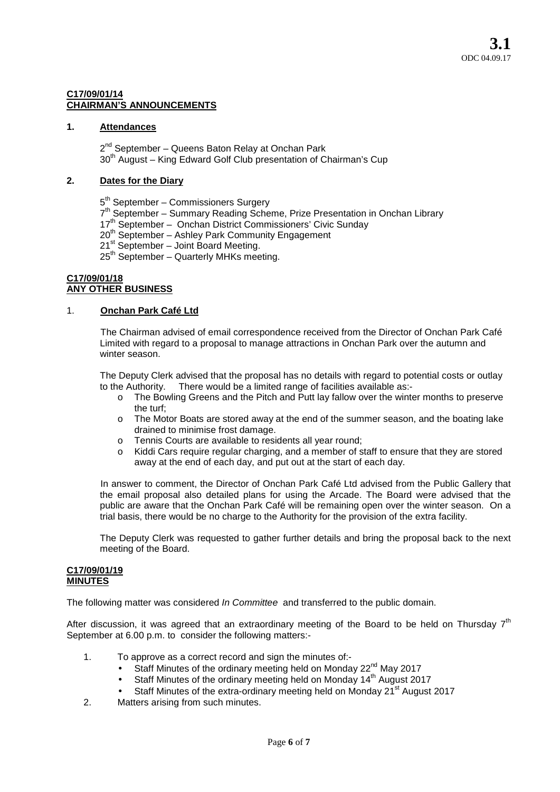### **C17/09/01/14 CHAIRMAN'S ANNOUNCEMENTS**

## **1. Attendances**

2<sup>nd</sup> September – Queens Baton Relay at Onchan Park 30<sup>th</sup> August – King Edward Golf Club presentation of Chairman's Cup

# **2. Dates for the Diary**

5<sup>th</sup> September – Commissioners Surgery

- 7<sup>th</sup> September Summary Reading Scheme, Prize Presentation in Onchan Library
- 17<sup>th</sup> September Onchan District Commissioners' Civic Sunday
- 20<sup>th</sup> September Ashley Park Community Engagement
- $21<sup>st</sup>$  September Joint Board Meeting.
- 25<sup>th</sup> September Quarterly MHKs meeting.

#### **C17/09/01/18 ANY OTHER BUSINESS**

#### 1. **Onchan Park Café Ltd**

The Chairman advised of email correspondence received from the Director of Onchan Park Café Limited with regard to a proposal to manage attractions in Onchan Park over the autumn and winter season.

The Deputy Clerk advised that the proposal has no details with regard to potential costs or outlay to the Authority. There would be a limited range of facilities available as:-

- o The Bowling Greens and the Pitch and Putt lay fallow over the winter months to preserve the turf;
- o The Motor Boats are stored away at the end of the summer season, and the boating lake drained to minimise frost damage.
- o Tennis Courts are available to residents all year round;
- o Kiddi Cars require regular charging, and a member of staff to ensure that they are stored away at the end of each day, and put out at the start of each day.

In answer to comment, the Director of Onchan Park Café Ltd advised from the Public Gallery that the email proposal also detailed plans for using the Arcade. The Board were advised that the public are aware that the Onchan Park Café will be remaining open over the winter season. On a trial basis, there would be no charge to the Authority for the provision of the extra facility.

The Deputy Clerk was requested to gather further details and bring the proposal back to the next meeting of the Board.

#### **C17/09/01/19 MINUTES**

The following matter was considered *In Committee* and transferred to the public domain.

After discussion, it was agreed that an extraordinary meeting of the Board to be held on Thursday  $7<sup>th</sup>$ September at 6.00 p.m. to consider the following matters:-

- 1. To approve as a correct record and sign the minutes of:-
	- Staff Minutes of the ordinary meeting held on Monday 22<sup>nd</sup> May 2017
	- Staff Minutes of the ordinary meeting held on Monday 14<sup>th</sup> August 2017
	- Staff Minutes of the extra-ordinary meeting held on Monday 21<sup>st</sup> August 2017
- 2. Matters arising from such minutes.